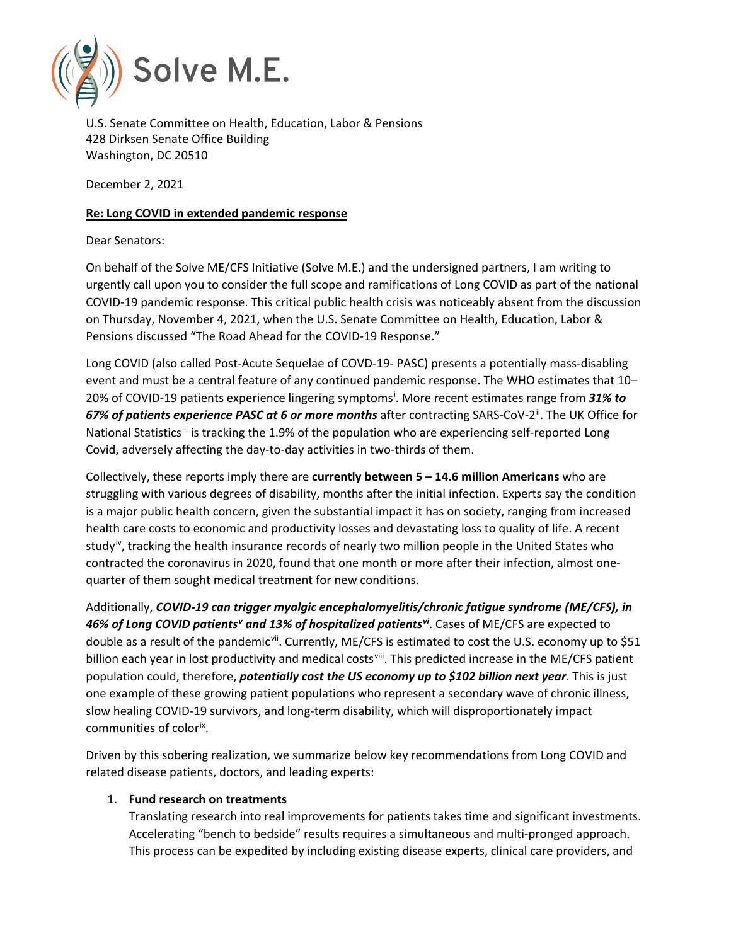

U.S. Senate Committee on Health, Education, Labor & Pensions 428 Dirksen Senate Office Building Washington, DC 20510

December 2, 2021

## **Re: Long COVID in extended pandemic response**

Dear Senators:

On behalf of the Solve ME/CFS Initiative (Solve M.E.) and the undersigned partners, I am writing to urgently call upon you to consider the full scope and ramifications of Long COVID as part of the national COVID-19 pandemic response. This critical public health crisis was noticeably absent from the discussion on Thursday, November 4, 2021, when the U.S. Senate Committee on Health, Education, Labor & Pensions discussed "The Road Ahead for the COVID-19 Response."

Long COVID (also called Post-Acute Sequelae of COVD-19- PASC) presents a potentially mass-disabling event and must be a central feature of any continued pandemic response. The WHO estimates that 10– 20% of COVID-19 pat[i](#page-4-0)ents experience lingering symptoms<sup>i</sup>. More recent estimates range from 31% to 67% of patients experience PASC at 6 or more months after contracting SARS-CoV-2<sup>[ii](#page-4-1)</sup>. The UK Office for National Statistics<sup>[iii](#page-4-2)</sup> is tracking the 1.9% of the population who are experiencing self-reported Long Covid, adversely affecting the day-to-day activities in two-thirds of them.

Collectively, these reports imply there are **currently between 5 – 14.6 million Americans** who are struggling with various degrees of disability, months after the initial infection. Experts say the condition is a major public health concern, given the substantial impact it has on society, ranging from increased health care costs to economic and productivity losses and devastating loss to quality of life. A recent study<sup>iv</sup>, tracking the health insurance records of nearly two million people in the United States who contracted the coronavirus in 2020, found that one month or more after their infection, almost onequarter of them sought medical treatment for new conditions.

Additionally, *COVID-19 can trigger myalgic encephalomyelitis/chronic fatigue syndrome (ME/CFS), in 46% of Long COVID patients[v](#page-4-4) and 13% of hospitalized patients[vi](#page-4-5)*. Cases of ME/CFS are expected to double as a result of the pandemic<sup>vii</sup>. Currently, ME/CFS is estimated to cost the U.S. economy up to \$51 billion each year in lost productivity and medical costs<sup>viii</sup>. This predicted increase in the ME/CFS patient population could, therefore, *potentially cost the US economy up to \$102 billion next year*. This is just one example of these growing patient populations who represent a secondary wave of chronic illness, slow healing COVID-19 survivors, and long-term disability, which will disproportionately impact communities of color<sup>[ix](#page-4-8)</sup>.

Driven by this sobering realization, we summarize below key recommendations from Long COVID and related disease patients, doctors, and leading experts:

## 1. **Fund research on treatments**

Translating research into real improvements for patients takes time and significant investments. Accelerating "bench to bedside" results requires a simultaneous and multi-pronged approach. This process can be expedited by including existing disease experts, clinical care providers, and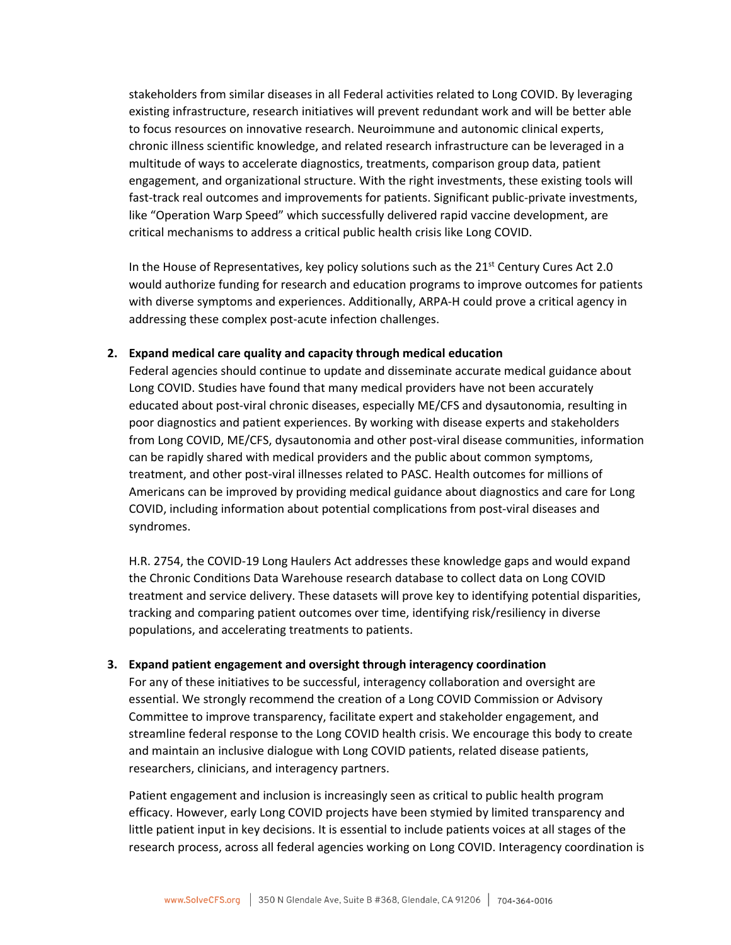stakeholders from similar diseases in all Federal activities related to Long COVID. By leveraging existing infrastructure, research initiatives will prevent redundant work and will be better able to focus resources on innovative research. Neuroimmune and autonomic clinical experts, chronic illness scientific knowledge, and related research infrastructure can be leveraged in a multitude of ways to accelerate diagnostics, treatments, comparison group data, patient engagement, and organizational structure. With the right investments, these existing tools will fast-track real outcomes and improvements for patients. Significant public-private investments, like "Operation Warp Speed" which successfully delivered rapid vaccine development, are critical mechanisms to address a critical public health crisis like Long COVID.

In the House of Representatives, key policy solutions such as the  $21<sup>st</sup>$  Century Cures Act 2.0 would authorize funding for research and education programs to improve outcomes for patients with diverse symptoms and experiences. Additionally, ARPA-H could prove a critical agency in addressing these complex post-acute infection challenges.

## **2. Expand medical care quality and capacity through medical education**

Federal agencies should continue to update and disseminate accurate medical guidance about Long COVID. Studies have found that many medical providers have not been accurately educated about post-viral chronic diseases, especially ME/CFS and dysautonomia, resulting in poor diagnostics and patient experiences. By working with disease experts and stakeholders from Long COVID, ME/CFS, dysautonomia and other post-viral disease communities, information can be rapidly shared with medical providers and the public about common symptoms, treatment, and other post-viral illnesses related to PASC. Health outcomes for millions of Americans can be improved by providing medical guidance about diagnostics and care for Long COVID, including information about potential complications from post-viral diseases and syndromes.

H.R. 2754, the COVID-19 Long Haulers Act addresses these knowledge gaps and would expand the Chronic Conditions Data Warehouse research database to collect data on Long COVID treatment and service delivery. These datasets will prove key to identifying potential disparities, tracking and comparing patient outcomes over time, identifying risk/resiliency in diverse populations, and accelerating treatments to patients.

## **3. Expand patient engagement and oversight through interagency coordination**

For any of these initiatives to be successful, interagency collaboration and oversight are essential. We strongly recommend the creation of a Long COVID Commission or Advisory Committee to improve transparency, facilitate expert and stakeholder engagement, and streamline federal response to the Long COVID health crisis. We encourage this body to create and maintain an inclusive dialogue with Long COVID patients, related disease patients, researchers, clinicians, and interagency partners.

Patient engagement and inclusion is increasingly seen as critical to public health program efficacy. However, early Long COVID projects have been stymied by limited transparency and little patient input in key decisions. It is essential to include patients voices at all stages of the research process, across all federal agencies working on Long COVID. Interagency coordination is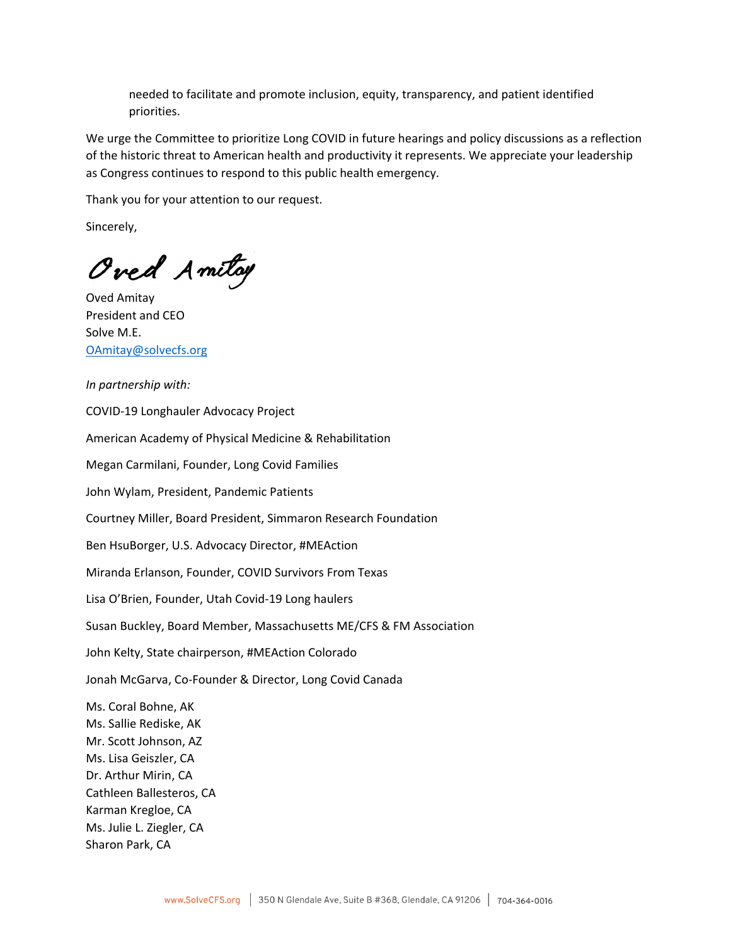needed to facilitate and promote inclusion, equity, transparency, and patient identified priorities.

We urge the Committee to prioritize Long COVID in future hearings and policy discussions as a reflection of the historic threat to American health and productivity it represents. We appreciate your leadership as Congress continues to respond to this public health emergency.

Thank you for your attention to our request.

Sincerely,

Oved Amiltoy

Oved Amitay President and CEO Solve M.E. [OAmitay@solvecfs.org](mailto:OAmitay@solvecfs.org)

*In partnership with:*

COVID-19 Longhauler Advocacy Project

American Academy of Physical Medicine & Rehabilitation

Megan Carmilani, Founder, Long Covid Families

John Wylam, President, Pandemic Patients

Courtney Miller, Board President, Simmaron Research Foundation

Ben HsuBorger, U.S. Advocacy Director, #MEAction

Miranda Erlanson, Founder, COVID Survivors From Texas

Lisa O'Brien, Founder, Utah Covid-19 Long haulers

Susan Buckley, Board Member, Massachusetts ME/CFS & FM Association

John Kelty, State chairperson, #MEAction Colorado

Jonah McGarva, Co-Founder & Director, Long Covid Canada

Ms. Coral Bohne, AK Ms. Sallie Rediske, AK Mr. Scott Johnson, AZ Ms. Lisa Geiszler, CA Dr. Arthur Mirin, CA Cathleen Ballesteros, CA Karman Kregloe, CA Ms. Julie L. Ziegler, CA Sharon Park, CA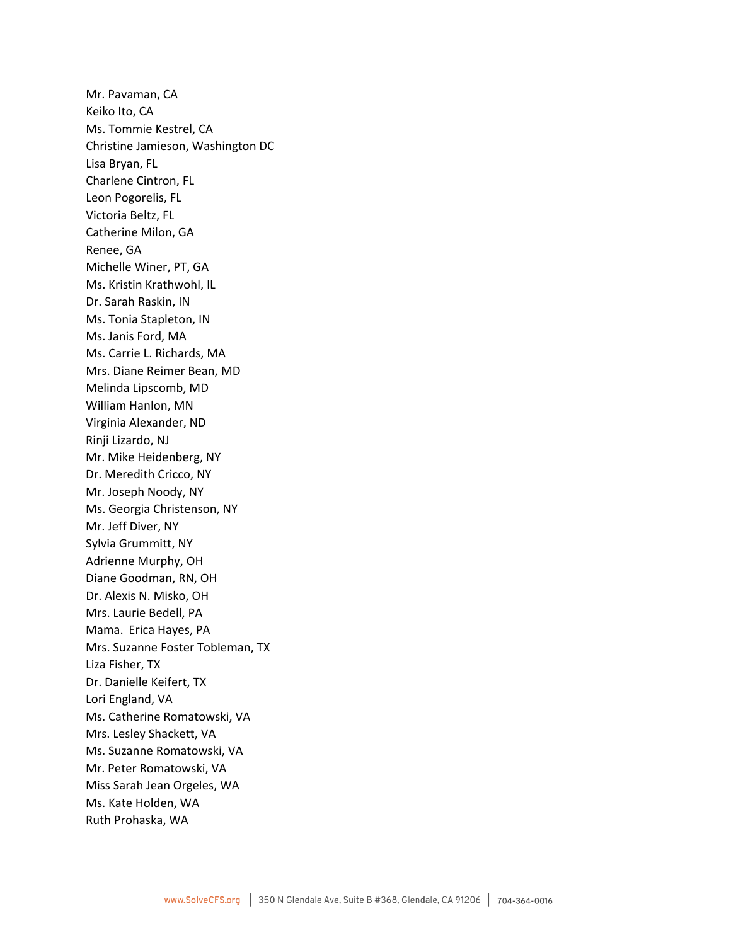Mr. Pavaman, CA Keiko Ito, CA Ms. Tommie Kestrel, CA Christine Jamieson, Washington DC Lisa Bryan, FL Charlene Cintron, FL Leon Pogorelis, FL Victoria Beltz, FL Catherine Milon, GA Renee, GA Michelle Winer, PT, GA Ms. Kristin Krathwohl, IL Dr. Sarah Raskin, IN Ms. Tonia Stapleton, IN Ms. Janis Ford, MA Ms. Carrie L. Richards, MA Mrs. Diane Reimer Bean, MD Melinda Lipscomb, MD William Hanlon, MN Virginia Alexander, ND Rinji Lizardo, NJ Mr. Mike Heidenberg, NY Dr. Meredith Cricco, NY Mr. Joseph Noody, NY Ms. Georgia Christenson, NY Mr. Jeff Diver, NY Sylvia Grummitt, NY Adrienne Murphy, OH Diane Goodman, RN, OH Dr. Alexis N. Misko, OH Mrs. Laurie Bedell, PA Mama. Erica Hayes, PA Mrs. Suzanne Foster Tobleman, TX Liza Fisher, TX Dr. Danielle Keifert, TX Lori England, VA Ms. Catherine Romatowski, VA Mrs. Lesley Shackett, VA Ms. Suzanne Romatowski, VA Mr. Peter Romatowski, VA Miss Sarah Jean Orgeles, WA Ms. Kate Holden, WA Ruth Prohaska, WA